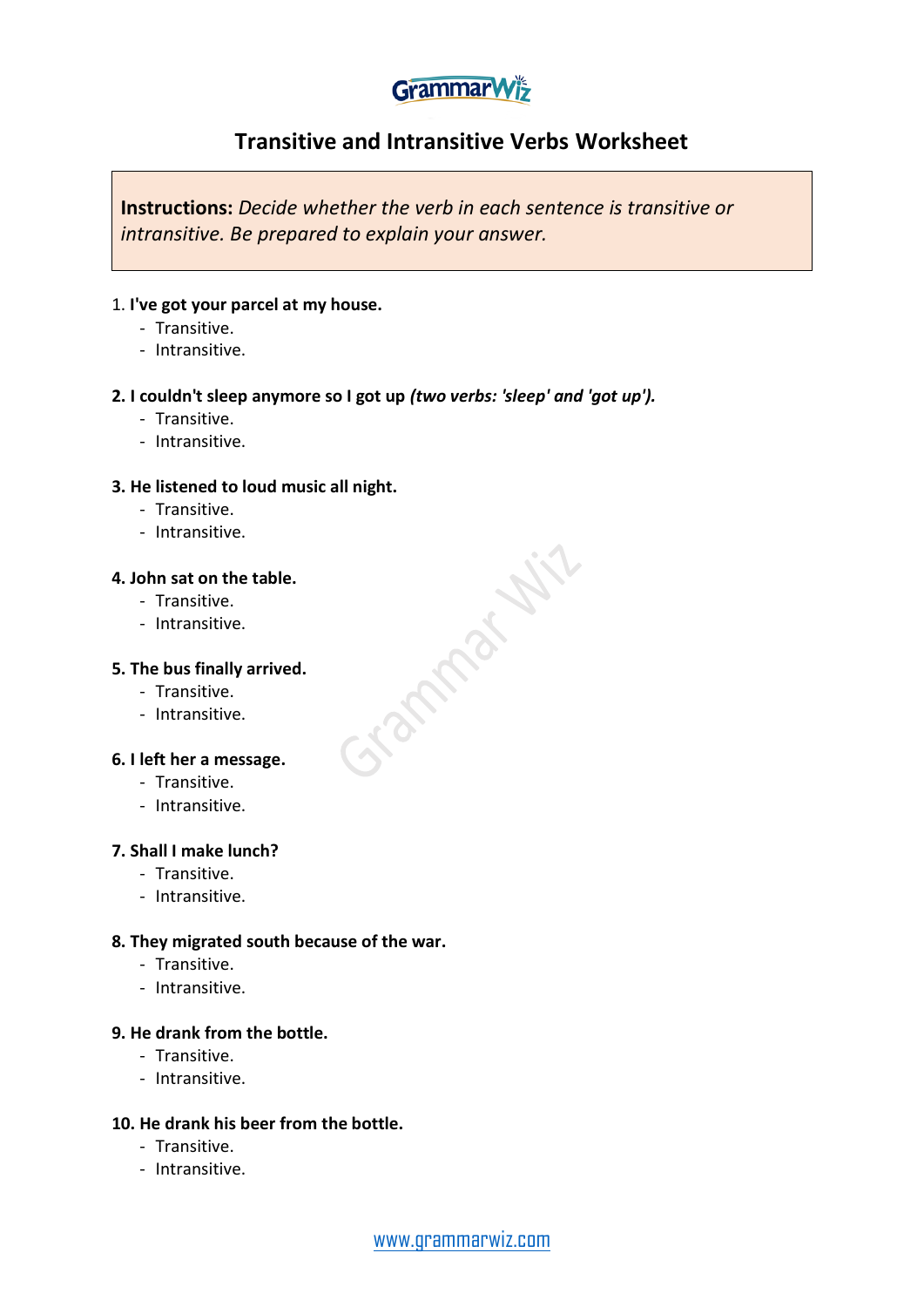# **GrammarWiz**

## **Transitive and Intransitive Verbs Worksheet**

**STARPALLY** 

**Instructions:** *Decide whether the verb in each sentence is transitive or intransitive. Be prepared to explain your answer.*

#### 1. **I've got your parcel at my house.**

- Transitive.
- Intransitive.

#### **2. I couldn't sleep anymore so I got up** *(two verbs: 'sleep' and 'got up').*

- Transitive.
- Intransitive.

#### **3. He listened to loud music all night.**

- Transitive.
- Intransitive.

#### **4. John sat on the table.**

- Transitive.
- Intransitive.

#### **5. The bus finally arrived.**

- Transitive.
- Intransitive.

#### **6. I left her a message.**

- Transitive.
- Intransitive.

#### **7. Shall I make lunch?**

- Transitive.
- Intransitive.

#### **8. They migrated south because of the war.**

- Transitive.
- Intransitive.

#### **9. He drank from the bottle.**

- Transitive.
- Intransitive.

#### **10. He drank his beer from the bottle.**

- Transitive.
- Intransitive.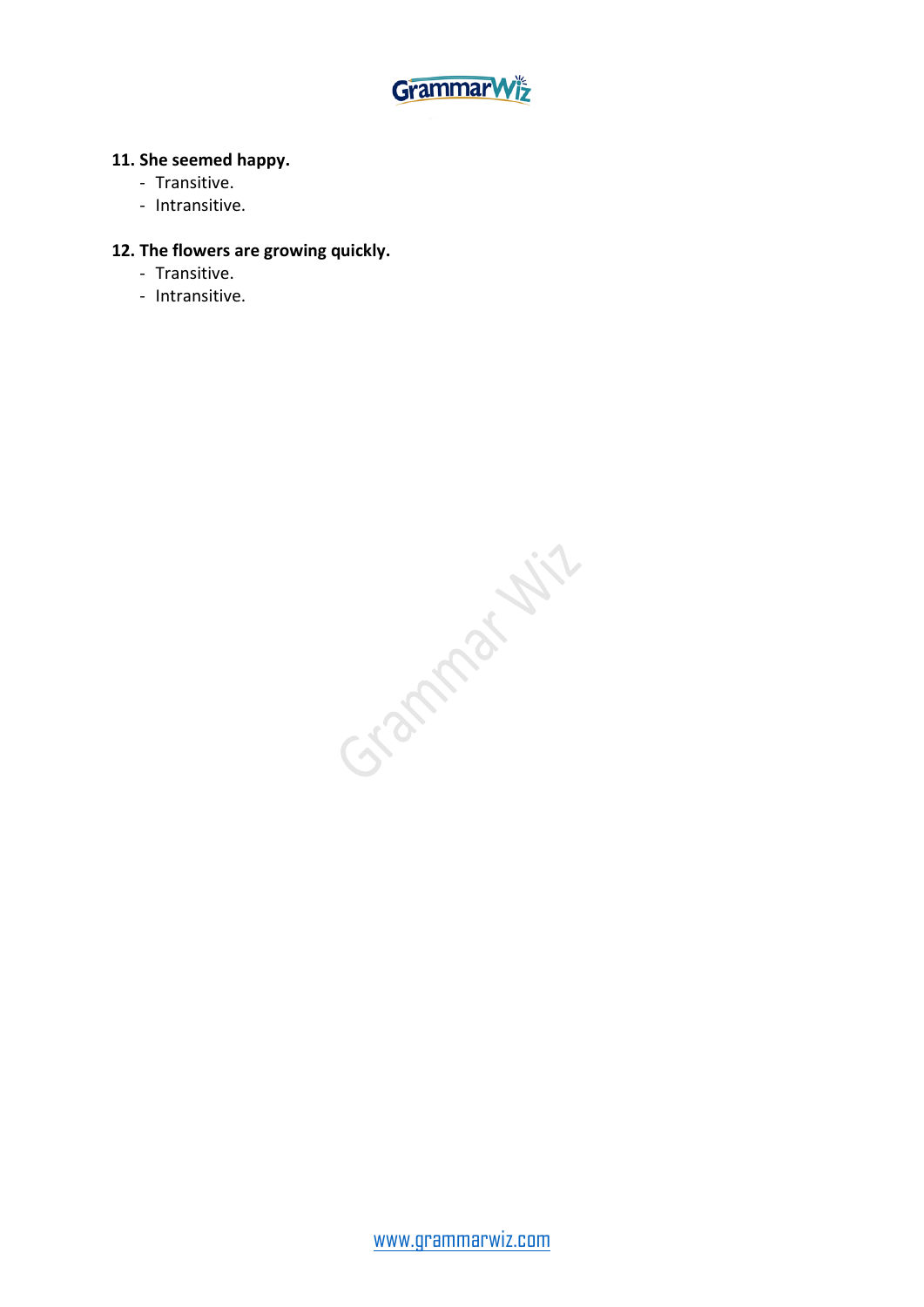

#### **11. She seemed happy.**

- Transitive.
- Intransitive.

#### **12. The flowers are growing quickly.**

- Transitive.
- Intransitive.

Gamma Hill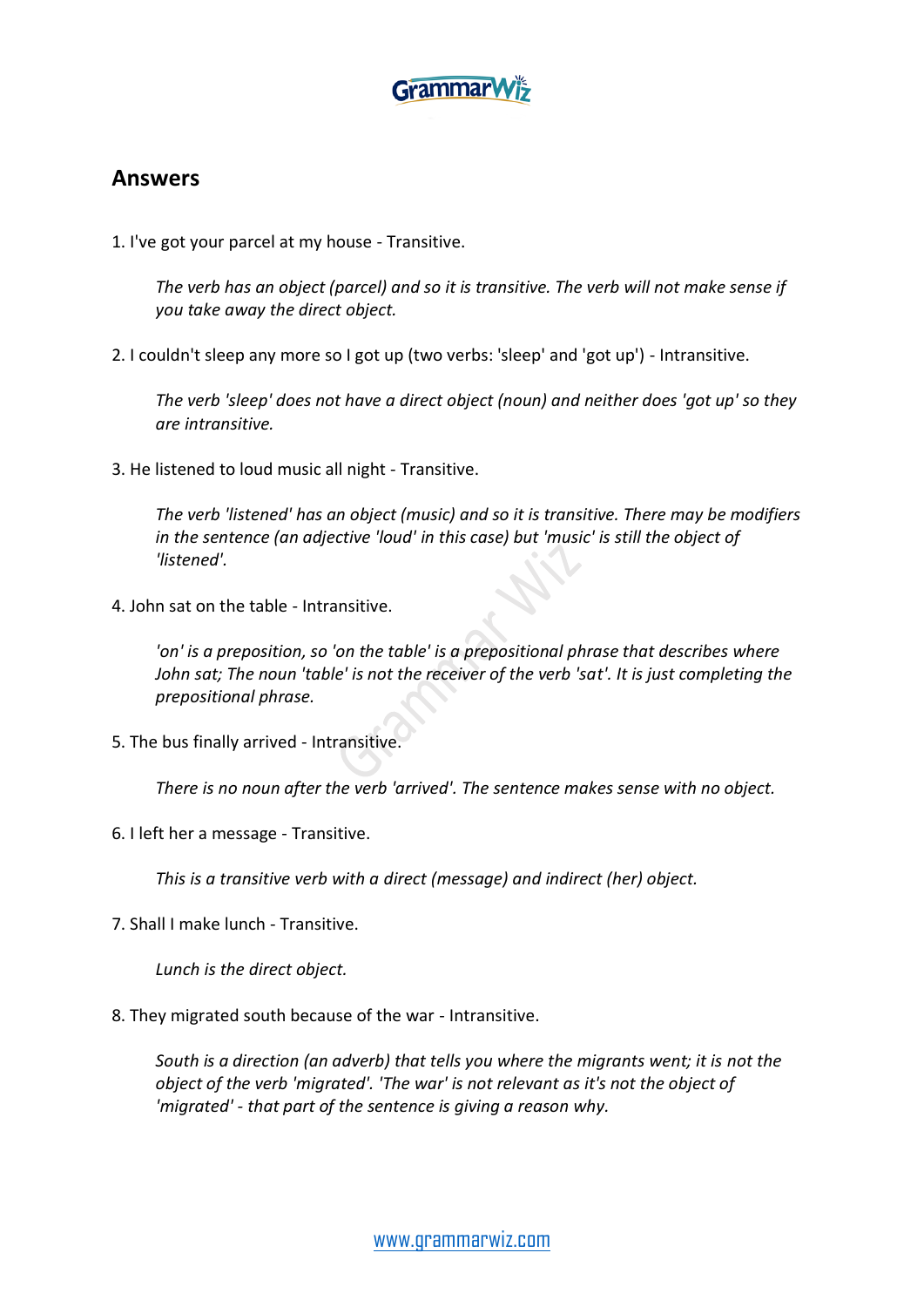

### **Answers**

1. I've got your parcel at my house - Transitive.

*The verb has an object (parcel) and so it is transitive. The verb will not make sense if you take away the direct object.* 

2. I couldn't sleep any more so I got up (two verbs: 'sleep' and 'got up') - Intransitive.

*The verb 'sleep' does not have a direct object (noun) and neither does 'got up' so they are intransitive.*

3. He listened to loud music all night - Transitive.

*The verb 'listened' has an object (music) and so it is transitive. There may be modifiers in the sentence (an adjective 'loud' in this case) but 'music' is still the object of 'listened'.*

4. John sat on the table - Intransitive.

*'on' is a preposition, so 'on the table' is a prepositional phrase that describes where John sat; The noun 'table' is not the receiver of the verb 'sat'. It is just completing the prepositional phrase.* 

5. The bus finally arrived - Intransitive.

*There is no noun after the verb 'arrived'. The sentence makes sense with no object.*

6. I left her a message - Transitive.

*This is a transitive verb with a direct (message) and indirect (her) object.*

7. Shall I make lunch - Transitive.

*Lunch is the direct object.*

8. They migrated south because of the war - Intransitive.

*South is a direction (an adverb) that tells you where the migrants went; it is not the object of the verb 'migrated'. 'The war' is not relevant as it's not the object of 'migrated' - that part of the sentence is giving a reason why.*